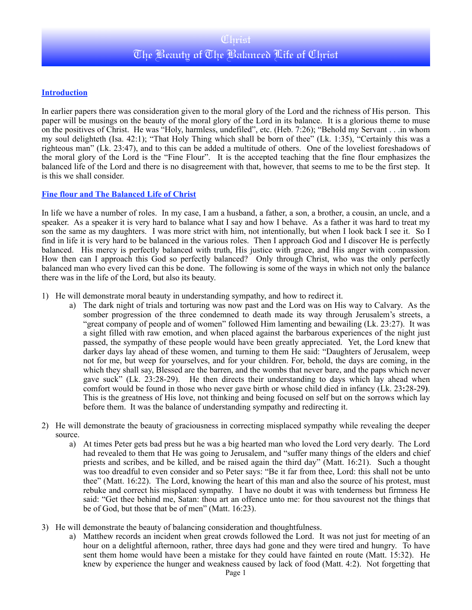# **Introduction**

In earlier papers there was consideration given to the moral glory of the Lord and the richness of His person. This paper will be musings on the beauty of the moral glory of the Lord in its balance. It is a glorious theme to muse on the positives of Christ. He was "Holy, harmless, undefiled", etc. (Heb. 7:26); "Behold my Servant . . .in whom my soul delighteth (Isa. 42:1); "That Holy Thing which shall be born of thee" (Lk. 1:35), "Certainly this was a righteous man" (Lk. 23:47), and to this can be added a multitude of others. One of the loveliest foreshadows of the moral glory of the Lord is the "Fine Flour". It is the accepted teaching that the fine flour emphasizes the balanced life of the Lord and there is no disagreement with that, however, that seems to me to be the first step. It is this we shall consider.

## **Fine flour and The Balanced Life of Christ**

In life we have a number of roles. In my case, I am a husband, a father, a son, a brother, a cousin, an uncle, and a speaker. As a speaker it is very hard to balance what I say and how I behave. As a father it was hard to treat my son the same as my daughters. I was more strict with him, not intentionally, but when I look back I see it. So I find in life it is very hard to be balanced in the various roles. Then I approach God and I discover He is perfectly balanced. His mercy is perfectly balanced with truth, His justice with grace, and His anger with compassion. How then can I approach this God so perfectly balanced? Only through Christ, who was the only perfectly balanced man who every lived can this be done. The following is some of the ways in which not only the balance there was in the life of the Lord, but also its beauty.

- 1) He will demonstrate moral beauty in understanding sympathy, and how to redirect it.
	- a) The dark night of trials and torturing was now past and the Lord was on His way to Calvary. As the somber progression of the three condemned to death made its way through Jerusalem's streets, a "great company of people and of women" followed Him lamenting and bewailing (Lk. 23:27). It was a sight filled with raw emotion, and when placed against the barbarous experiences of the night just passed, the sympathy of these people would have been greatly appreciated. Yet, the Lord knew that darker days lay ahead of these women, and turning to them He said: "Daughters of Jerusalem, weep not for me, but weep for yourselves, and for your children. For, behold, the days are coming, in the which they shall say, Blessed are the barren, and the wombs that never bare, and the paps which never gave suck" (Lk. 23:28-29). He then directs their understanding to days which lay ahead when comfort would be found in those who never gave birth or whose child died in infancy (Lk. 23**:**28-29**)**. This is the greatness of His love, not thinking and being focused on self but on the sorrows which lay before them. It was the balance of understanding sympathy and redirecting it.
- 2) He will demonstrate the beauty of graciousness in correcting misplaced sympathy while revealing the deeper source.
	- a) At times Peter gets bad press but he was a big hearted man who loved the Lord very dearly. The Lord had revealed to them that He was going to Jerusalem, and "suffer many things of the elders and chief priests and scribes, and be killed, and be raised again the third day" (Matt. 16:21). Such a thought was too dreadful to even consider and so Peter says: "Be it far from thee, Lord: this shall not be unto thee" (Matt. 16:22). The Lord, knowing the heart of this man and also the source of his protest, must rebuke and correct his misplaced sympathy. I have no doubt it was with tenderness but firmness He said: "Get thee behind me, Satan: thou art an offence unto me: for thou savourest not the things that be of God, but those that be of men" (Matt. 16:23).
- 3) He will demonstrate the beauty of balancing consideration and thoughtfulness.
	- a) Matthew records an incident when great crowds followed the Lord. It was not just for meeting of an hour on a delightful afternoon, rather, three days had gone and they were tired and hungry. To have sent them home would have been a mistake for they could have fainted en route (Matt. 15:32). He knew by experience the hunger and weakness caused by lack of food (Matt. 4:2). Not forgetting that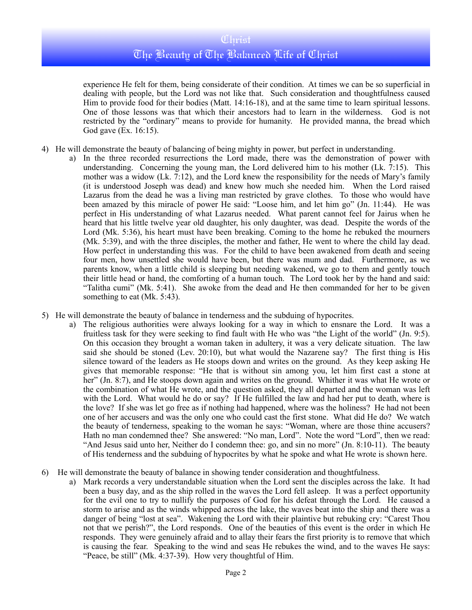experience He felt for them, being considerate of their condition. At times we can be so superficial in dealing with people, but the Lord was not like that. Such consideration and thoughtfulness caused Him to provide food for their bodies (Matt. 14:16-18), and at the same time to learn spiritual lessons. One of those lessons was that which their ancestors had to learn in the wilderness. God is not restricted by the "ordinary" means to provide for humanity. He provided manna, the bread which God gave (Ex. 16:15).

- 4) He will demonstrate the beauty of balancing of being mighty in power, but perfect in understanding.
	- a) In the three recorded resurrections the Lord made, there was the demonstration of power with understanding. Concerning the young man, the Lord delivered him to his mother (Lk. 7:15). This mother was a widow (Lk. 7:12), and the Lord knew the responsibility for the needs of Mary's family (it is understood Joseph was dead) and knew how much she needed him. When the Lord raised Lazarus from the dead he was a living man restricted by grave clothes. To those who would have been amazed by this miracle of power He said: "Loose him, and let him go" (Jn. 11:44). He was perfect in His understanding of what Lazarus needed. What parent cannot feel for Jairus when he heard that his little twelve year old daughter, his only daughter, was dead. Despite the words of the Lord (Mk. 5:36), his heart must have been breaking. Coming to the home he rebuked the mourners (Mk. 5:39), and with the three disciples, the mother and father, He went to where the child lay dead. How perfect in understanding this was. For the child to have been awakened from death and seeing four men, how unsettled she would have been, but there was mum and dad. Furthermore, as we parents know, when a little child is sleeping but needing wakened, we go to them and gently touch their little head or hand, the comforting of a human touch. The Lord took her by the hand and said: "Talitha cumi" (Mk. 5:41). She awoke from the dead and He then commanded for her to be given something to eat (Mk. 5:43).
- 5) He will demonstrate the beauty of balance in tenderness and the subduing of hypocrites.
	- a) The religious authorities were always looking for a way in which to ensnare the Lord. It was a fruitless task for they were seeking to find fault with He who was "the Light of the world" (Jn. 9:5). On this occasion they brought a woman taken in adultery, it was a very delicate situation. The law said she should be stoned (Lev. 20:10), but what would the Nazarene say? The first thing is His silence toward of the leaders as He stoops down and writes on the ground. As they keep asking He gives that memorable response: "He that is without sin among you, let him first cast a stone at her" (Jn. 8:7), and He stoops down again and writes on the ground. Whither it was what He wrote or the combination of what He wrote, and the question asked, they all departed and the woman was left with the Lord. What would he do or say? If He fulfilled the law and had her put to death, where is the love? If she was let go free as if nothing had happened, where was the holiness? He had not been one of her accusers and was the only one who could cast the first stone. What did He do? We watch the beauty of tenderness, speaking to the woman he says: "Woman, where are those thine accusers? Hath no man condemned thee? She answered: "No man, Lord". Note the word "Lord", then we read: "And Jesus said unto her, Neither do I condemn thee: go, and sin no more" (Jn. 8:10-11). The beauty of His tenderness and the subduing of hypocrites by what he spoke and what He wrote is shown here.
- 6) He will demonstrate the beauty of balance in showing tender consideration and thoughtfulness.
	- a) Mark records a very understandable situation when the Lord sent the disciples across the lake. It had been a busy day, and as the ship rolled in the waves the Lord fell asleep. It was a perfect opportunity for the evil one to try to nullify the purposes of God for his defeat through the Lord. He caused a storm to arise and as the winds whipped across the lake, the waves beat into the ship and there was a danger of being "lost at sea". Wakening the Lord with their plaintive but rebuking cry: "Carest Thou not that we perish?", the Lord responds. One of the beauties of this event is the order in which He responds. They were genuinely afraid and to allay their fears the first priority is to remove that which is causing the fear. Speaking to the wind and seas He rebukes the wind, and to the waves He says: "Peace, be still" (Mk. 4:37-39). How very thoughtful of Him.